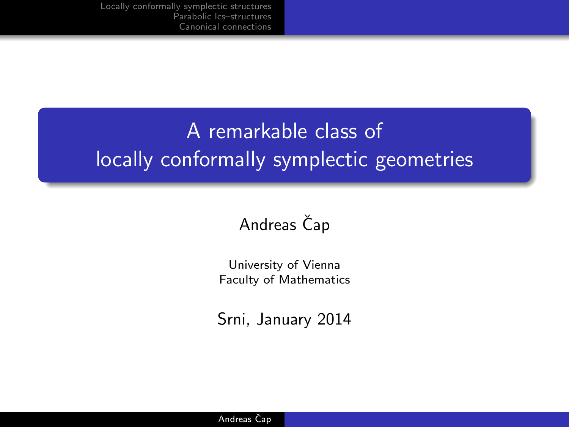# A remarkable class of locally conformally symplectic geometries

### Andreas Čap

University of Vienna Faculty of Mathematics

Srni, January 2014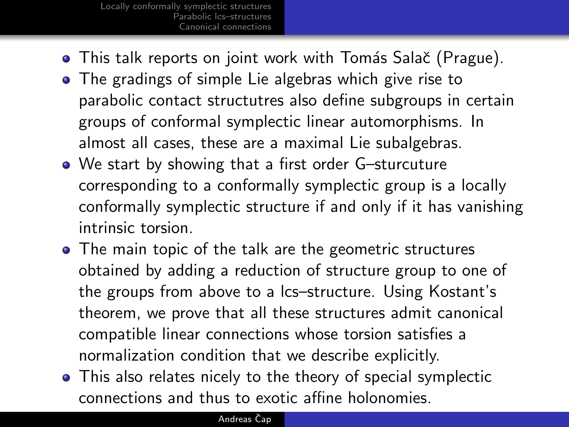- **•** This talk reports on joint work with Tomás Salač (Prague).
- The gradings of simple Lie algebras which give rise to parabolic contact structutres also define subgroups in certain groups of conformal symplectic linear automorphisms. In almost all cases, these are a maximal Lie subalgebras.
- We start by showing that a first order G–sturcuture corresponding to a conformally symplectic group is a locally conformally symplectic structure if and only if it has vanishing intrinsic torsion.
- The main topic of the talk are the geometric structures obtained by adding a reduction of structure group to one of the groups from above to a lcs–structure. Using Kostant's theorem, we prove that all these structures admit canonical compatible linear connections whose torsion satisfies a normalization condition that we describe explicitly.
- This also relates nicely to the theory of special symplectic connections and thus to exotic affine holonomies.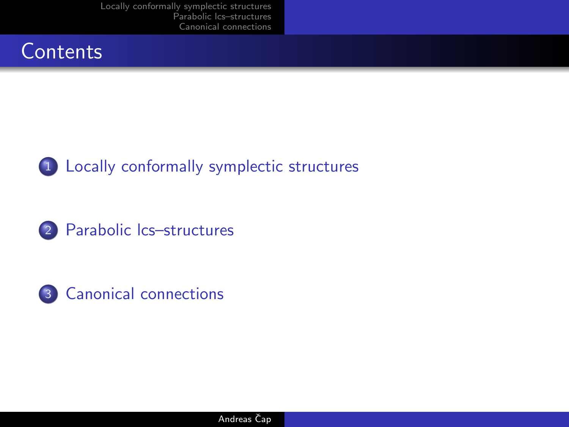### **Contents**





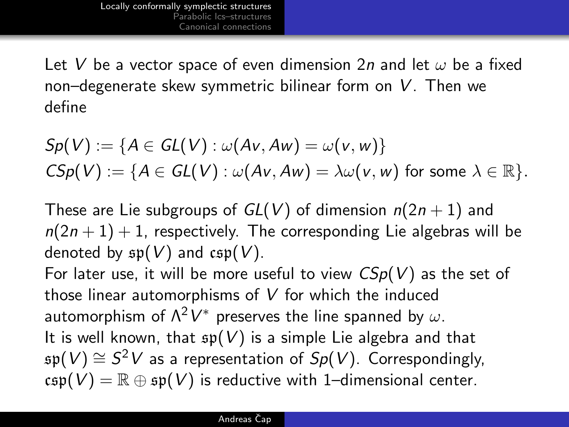Let V be a vector space of even dimension 2n and let  $\omega$  be a fixed non–degenerate skew symmetric bilinear form on V. Then we define

$$
Sp(V) := \{A \in GL(V) : \omega(Av, Aw) = \omega(v, w)\}
$$
  

$$
CSp(V) := \{A \in GL(V) : \omega(Av, Aw) = \lambda \omega(v, w) \text{ for some } \lambda \in \mathbb{R}\}.
$$

These are Lie subgroups of  $GL(V)$  of dimension  $n(2n + 1)$  and  $n(2n+1)+1$ , respectively. The corresponding Lie algebras will be denoted by  $\mathfrak{sp}(V)$  and  $\mathfrak{csp}(V)$ .

<span id="page-3-0"></span>For later use, it will be more useful to view  $CSp(V)$  as the set of those linear automorphisms of V for which the induced automorphism of  $\Lambda^2 V^*$  preserves the line spanned by  $\omega.$ It is well known, that  $\mathfrak{sp}(V)$  is a simple Lie algebra and that  $\mathfrak{sp}(V) \cong S^2 V$  as a representation of  $Sp(V)$ . Correspondingly,  $csp(V) = \mathbb{R} \oplus sp(V)$  is reductive with 1–dimensional center.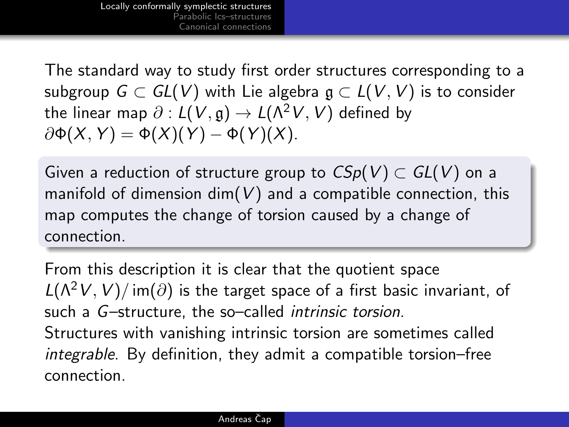The standard way to study first order structures corresponding to a subgroup  $G \subset GL(V)$  with Lie algebra  $g \subset L(V, V)$  is to consider the linear map  $\partial : L(V, \mathfrak{g}) \to L(\Lambda^2 V, V)$  defined by  $\partial \Phi(X, Y) = \Phi(X)(Y) - \Phi(Y)(X).$ 

Given a reduction of structure group to  $CSp(V) \subset GL(V)$  on a manifold of dimension dim( $V$ ) and a compatible connection, this map computes the change of torsion caused by a change of connection.

From this description it is clear that the quotient space  $L(\Lambda^2 V, V)/im(\partial)$  is the target space of a first basic invariant, of such a G-structure, the so-called intrinsic torsion. Structures with vanishing intrinsic torsion are sometimes called integrable. By definition, they admit a compatible torsion–free connection.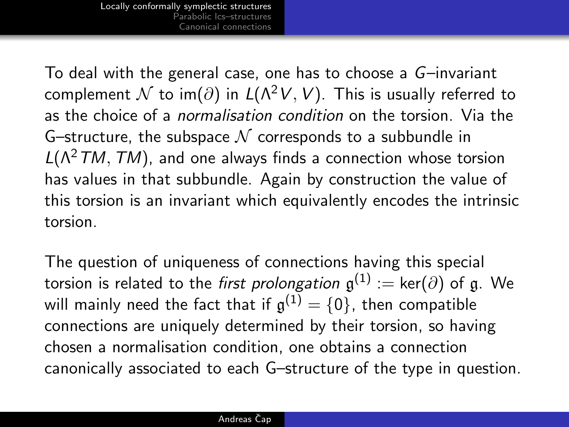To deal with the general case, one has to choose a G–invariant complement N to im( $\partial$ ) in  $L(\Lambda^2 V, V)$ . This is usually referred to as the choice of a normalisation condition on the torsion. Via the G–structure, the subspace  $\mathcal N$  corresponds to a subbundle in  $L(\Lambda^2TM,TM)$ , and one always finds a connection whose torsion has values in that subbundle. Again by construction the value of this torsion is an invariant which equivalently encodes the intrinsic torsion.

The question of uniqueness of connections having this special torsion is related to the *first prolongation*  $\mathfrak{g}^{(1)}:=\ker(\partial)$  of  $\mathfrak{g}.$  We will mainly need the fact that if  $\mathfrak{g}^{(1)}=\{0\}$ , then compatible connections are uniquely determined by their torsion, so having chosen a normalisation condition, one obtains a connection canonically associated to each G–structure of the type in question.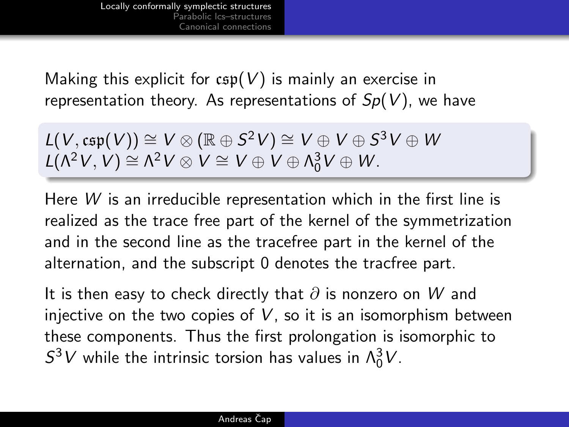Making this explicit for  $csp(V)$  is mainly an exercise in representation theory. As representations of  $Sp(V)$ , we have

$$
L(V,\mathfrak{csp}(V)) \cong V \otimes (\mathbb{R} \oplus S^2V) \cong V \oplus V \oplus S^3V \oplus W
$$
  

$$
L(\Lambda^2V,V) \cong \Lambda^2V \otimes V \cong V \oplus V \oplus \Lambda_0^3V \oplus W.
$$

Here W is an irreducible representation which in the first line is realized as the trace free part of the kernel of the symmetrization and in the second line as the tracefree part in the kernel of the alternation, and the subscript 0 denotes the tracfree part.

It is then easy to check directly that  $\partial$  is nonzero on W and injective on the two copies of  $V$ , so it is an isomorphism between these components. Thus the first prolongation is isomorphic to  $S^3V$  while the intrinsic torsion has values in  $\Lambda_0^3V$ .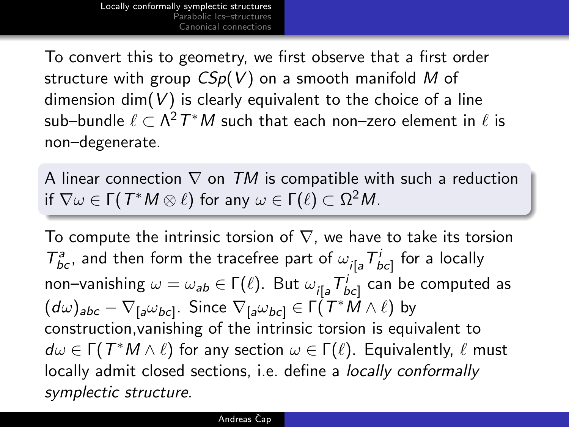To convert this to geometry, we first observe that a first order structure with group  $CSp(V)$  on a smooth manifold M of dimension  $\dim(V)$  is clearly equivalent to the choice of a line sub–bundle  $\ell \subset \Lambda^2\, T^\ast M$  such that each non–zero element in  $\ell$  is non–degenerate.

A linear connection  $\nabla$  on TM is compatible with such a reduction if  $\nabla\omega\in\mathsf{\Gamma}(\,\mathcal{T}^\ast\mathsf{M}\otimes\ell)\,$  for any  $\omega\in\mathsf{\Gamma}(\ell)\subset\Omega^2\mathsf{M}.$ 

To compute the intrinsic torsion of  $\nabla$ , we have to take its torsion  $T^a_{bc}$ , and then form the tracefree part of  $\omega_{i[a} T^i_{bc]}$  for a locally non–vanishing  $\omega = \omega_{\bm{a}\bm{b}} \in \bm{\Gamma}(\ell).$  But  $\omega_{i[\bm{a}}\bm{\mathcal{T}}^i_{bc]}$  can be computed as  $(d\omega)_{abc}-\nabla_{[a}\omega_{bc]}.$  Since  $\nabla_{[a}\omega_{bc]}\in \mathsf{\Gamma}({\mathcal{T}}^*\dot{M}\wedge\ell)$  by construction,vanishing of the intrinsic torsion is equivalent to  $d\omega \in \Gamma(T^*M\wedge \ell)$  for any section  $\omega \in \Gamma(\ell).$  Equivalently,  $\ell$  must locally admit closed sections, i.e. define a *locally conformally* symplectic structure.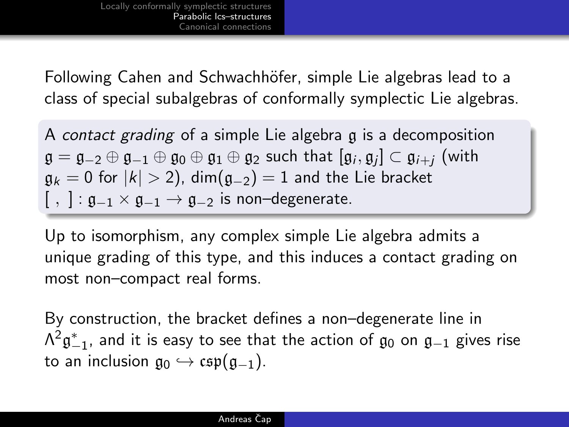Following Cahen and Schwachhöfer, simple Lie algebras lead to a class of special subalgebras of conformally symplectic Lie algebras.

A contact grading of a simple Lie algebra g is a decomposition  $\mathfrak{g}=\mathfrak{g}_{-2}\oplus\mathfrak{g}_{-1}\oplus\mathfrak{g}_0\oplus\mathfrak{g}_1\oplus\mathfrak{g}_2$  such that  $[\mathfrak{g}_i,\mathfrak{g}_j]\subset\mathfrak{g}_{i+j}$  (with  $g_k = 0$  for  $|k| > 2$ ), dim $(g_{-2}) = 1$  and the Lie bracket  $[ , ]: \mathfrak{g}_{-1} \times \mathfrak{g}_{-1} \to \mathfrak{g}_{-2}$  is non-degenerate.

Up to isomorphism, any complex simple Lie algebra admits a unique grading of this type, and this induces a contact grading on most non–compact real forms.

<span id="page-8-0"></span>By construction, the bracket defines a non–degenerate line in  $\mathsf{\Lambda}^2\mathfrak{g}^*_{-1}$ , and it is easy to see that the action of  $\mathfrak{g}_0$  on  $\mathfrak{g}_{-1}$  gives rise to an inclusion  $\mathfrak{g}_0 \hookrightarrow \mathfrak{csp}(\mathfrak{g}_{-1}).$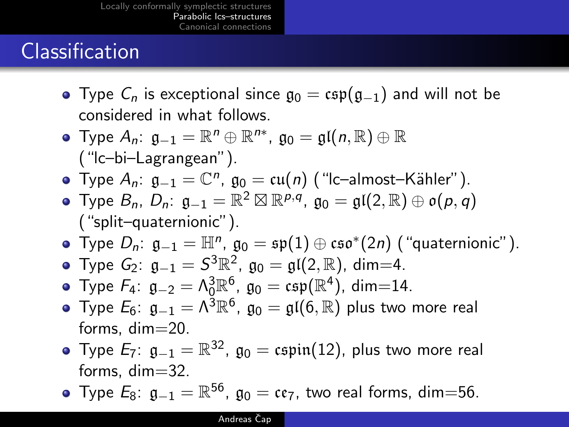### **Classification**

- Type  $C_n$  is exceptional since  $\mathfrak{g}_0 = \mathfrak{csp}(\mathfrak{g}_{-1})$  and will not be considered in what follows.
- Type  $A_n$ :  $\mathfrak{g}_{-1} = \mathbb{R}^n \oplus \mathbb{R}^{n*}$ ,  $\mathfrak{g}_0 = \mathfrak{gl}(n, \mathbb{R}) \oplus \mathbb{R}$ ("lc–bi–Lagrangean").
- Type  $A_n$ :  $\mathfrak{g}_{-1} = \mathbb{C}^n$ ,  $\mathfrak{g}_0 = \mathfrak{cu}(n)$  ("Ic-almost-Kähler").
- Type  $B_n$ ,  $D_n$ :  $\mathfrak{g}_{-1} = \mathbb{R}^2 \boxtimes \mathbb{R}^{p,q}$ ,  $\mathfrak{g}_0 = \mathfrak{gl}(2, \mathbb{R}) \oplus \mathfrak{o}(p,q)$ ("split–quaternionic").
- Type  $D_n$ :  $\mathfrak{g}_{-1} = \mathbb{H}^n$ ,  $\mathfrak{g}_0 = \mathfrak{sp}(1) \oplus \mathfrak{cs}$ o $^*(2n)$  ("quaternionic").
- Type  $G_2$ :  $\mathfrak{g}_{-1} = S^3 \mathbb{R}^2$ ,  $\mathfrak{g}_0 = \mathfrak{gl}(2, \mathbb{R})$ , dim=4.
- Type  $F_4$ :  $\mathfrak{g}_{-2} = \Lambda_0^3 \mathbb{R}^6$ ,  $\mathfrak{g}_0 = \mathfrak{csp}(\mathbb{R}^4)$ , dim=14.
- Type  $E_6$ :  $\mathfrak{g}_{-1}=\Lambda ^3 \mathbb{R}^6$ ,  $\mathfrak{g}_0=\mathfrak{gl}(6, \mathbb{R})$  plus two more real forms, dim=20.
- Type  $E_7$ :  $\mathfrak{g}_{-1}=\mathbb{R}^{32}$ ,  $\mathfrak{g}_0=\mathfrak{c}$ spin $(12)$ , plus two more real forms, dim=32.
- Type  $E_8$ :  $\mathfrak{g}_{-1} = \mathbb{R}^{56}$ ,  $\mathfrak{g}_0 = \mathfrak{cc}_7$ , two real forms, dim $=$ 56.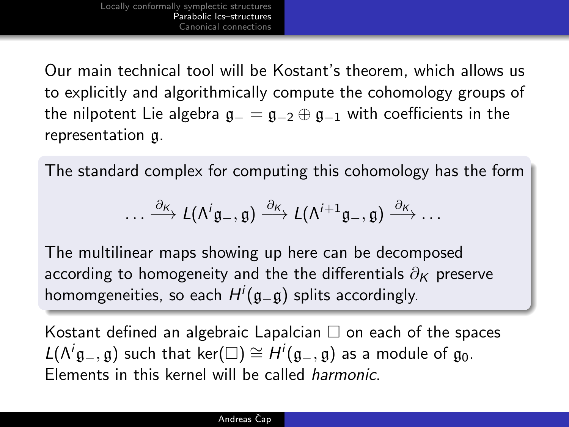Our main technical tool will be Kostant's theorem, which allows us to explicitly and algorithmically compute the cohomology groups of the nilpotent Lie algebra  $g_-=g_{-2}\oplus g_{-1}$  with coefficients in the representation g.

The standard complex for computing this cohomology has the form

$$
\ldots \xrightarrow{\partial_{K}} L(\Lambda^{i}\mathfrak{g}_{-},\mathfrak{g}) \xrightarrow{\partial_{K}} L(\Lambda^{i+1}\mathfrak{g}_{-},\mathfrak{g}) \xrightarrow{\partial_{K}} \ldots
$$

The multilinear maps showing up here can be decomposed according to homogeneity and the the differentials  $\partial_K$  preserve homomgeneities, so each  $H^i(\mathfrak{g}_{-}\mathfrak{g})$  splits accordingly.

Kostant defined an algebraic Lapalcian  $\Box$  on each of the spaces  $L(\Lambda^{i}\mathfrak{g}_{-},\mathfrak{g})$  such that ker $(\square) \cong H^{i}(\mathfrak{g}_{-},\mathfrak{g})$  as a module of  $\mathfrak{g}_{0}$ . Elements in this kernel will be called harmonic.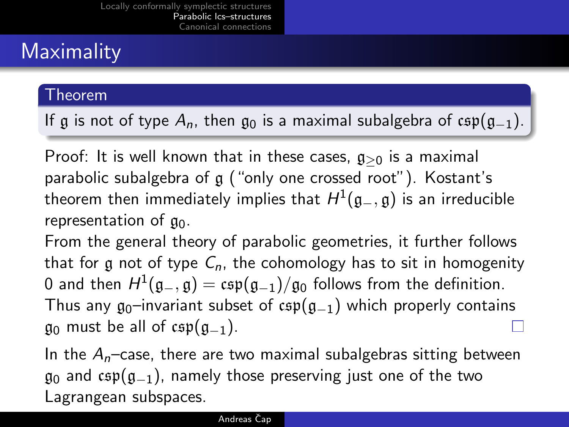# **Maximality**

### Theorem

If g is not of type  $A_n$ , then g<sub>0</sub> is a maximal subalgebra of csp(g<sub>-1</sub>).

Proof: It is well known that in these cases,  $g_{>0}$  is a maximal parabolic subalgebra of g ("only one crossed root"). Kostant's theorem then immediately implies that  $H^1(\mathfrak{g}_-,\mathfrak{g})$  is an irreducible representation of  $\mathfrak{g}_0$ .

From the general theory of parabolic geometries, it further follows that for g not of type  $C_n$ , the cohomology has to sit in homogenity 0 and then  $H^1(\mathfrak{g}_-,\mathfrak{g})=\mathfrak{csp}(\mathfrak{g}_{-1})/\mathfrak{g}_0$  follows from the definition. Thus any  $g_0$ –invariant subset of csp( $g_{-1}$ ) which properly contains  $\mathfrak{g}_0$  must be all of csp( $\mathfrak{g}_{-1}$ ).

In the  $A_n$ -case, there are two maximal subalgebras sitting between  $\mathfrak{g}_0$  and csp( $\mathfrak{g}_{-1}$ ), namely those preserving just one of the two Lagrangean subspaces.

#### Andreas Čap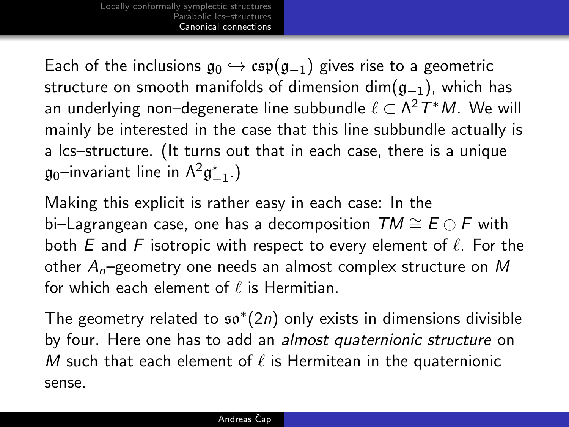Each of the inclusions  $\mathfrak{g}_0 \hookrightarrow \mathfrak{csp}(\mathfrak{g}_{-1})$  gives rise to a geometric structure on smooth manifolds of dimension dim( $g_{-1}$ ), which has an underlying non–degenerate line subbundle  $\ell \subset \mathsf{\Lambda}^2T^*\mathsf{M}.$  We will mainly be interested in the case that this line subbundle actually is a lcs–structure. (It turns out that in each case, there is a unique  $\mathfrak{g}_0$ –invariant line in  $\mathsf{\Lambda}^2\mathfrak{g}_{-1}^*$ .)

Making this explicit is rather easy in each case: In the bi–Lagrangean case, one has a decomposition  $TM \cong E \oplus F$  with both E and F isotropic with respect to every element of  $\ell$ . For the other  $A_n$ –geometry one needs an almost complex structure on M for which each element of  $\ell$  is Hermitian.

<span id="page-12-0"></span>The geometry related to  $\mathfrak{so}^{*}(2n)$  only exists in dimensions divisible by four. Here one has to add an almost quaternionic structure on M such that each element of  $\ell$  is Hermitean in the quaternionic sense.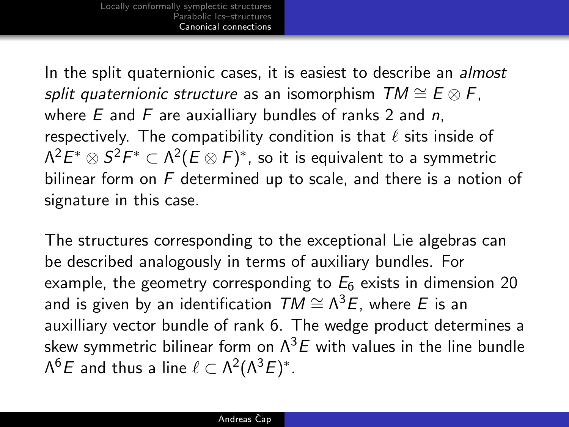In the split quaternionic cases, it is easiest to describe an *almost* split quaternionic structure as an isomorphism  $TM \cong E \otimes F$ , where  $E$  and  $F$  are auxialliary bundles of ranks 2 and n, respectively. The compatibility condition is that  $\ell$  sits inside of  $\Lambda^2 E^*\otimes S^2F^*\subset \Lambda^2(E\otimes F)^*$ , so it is equivalent to a symmetric bilinear form on F determined up to scale, and there is a notion of signature in this case.

The structures corresponding to the exceptional Lie algebras can be described analogously in terms of auxiliary bundles. For example, the geometry corresponding to  $E_6$  exists in dimension 20 and is given by an identification  $\mathcal{TM} \cong \Lambda^3 E$ , where  $E$  is an auxilliary vector bundle of rank 6. The wedge product determines a skew symmetric bilinear form on  $\Lambda^3 E$  with values in the line bundle Λ<sup>6</sup>E and thus a line  $\ell \subset \Lambda^2(\Lambda^3E)^*.$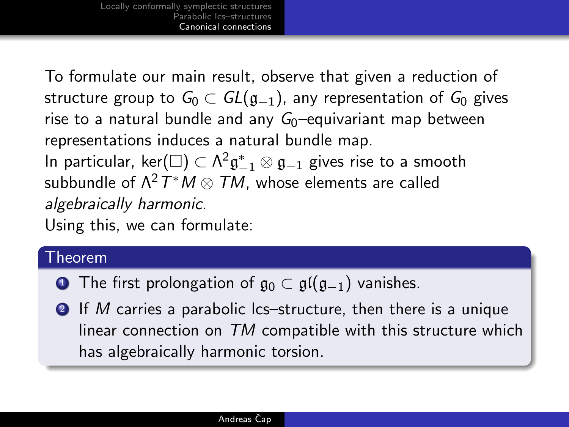To formulate our main result, observe that given a reduction of structure group to  $G_0 \subset GL(\mathfrak{g}_{-1})$ , any representation of  $G_0$  gives rise to a natural bundle and any  $G_0$ –equivariant map between representations induces a natural bundle map. In particular, ker $(\Box) \subset \Lambda^2 \mathfrak{g}_{-1}^* \otimes \mathfrak{g}_{-1}$  gives rise to a smooth subbundle of  $\Lambda^2\, T^\ast M \otimes\, TM$ , whose elements are called algebraically harmonic.

Using this, we can formulate:

### Theorem

- **■** The first prolongation of  $\mathfrak{g}_0 \subset \mathfrak{gl}(\mathfrak{g}_{-1})$  vanishes.
- 2 If M carries a parabolic lcs–structure, then there is a unique linear connection on TM compatible with this structure which has algebraically harmonic torsion.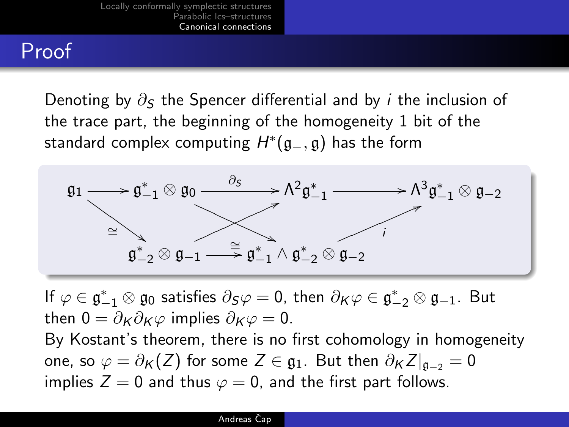### Proof

Denoting by  $\partial_{\mathcal{S}}$  the Spencer differential and by *i* the inclusion of the trace part, the beginning of the homogeneity 1 bit of the standard complex computing  $H^*(\mathfrak{g}_-,\mathfrak{g})$  has the form



If  $\varphi \in \mathfrak{g}_{-1}^* \otimes \mathfrak{g}_0$  satisfies  $\partial_S \varphi = 0$ , then  $\partial_K \varphi \in \mathfrak{g}_{-2}^* \otimes \mathfrak{g}_{-1}$ . But then  $0 = \partial_K \partial_K \varphi$  implies  $\partial_K \varphi = 0$ .

By Kostant's theorem, there is no first cohomology in homogeneity one, so  $\varphi = \partial_K(Z)$  for some  $Z \in \mathfrak{g}_1$ . But then  $\partial_K Z|_{\mathfrak{g}_{-2}} = 0$ implies  $Z = 0$  and thus  $\varphi = 0$ , and the first part follows.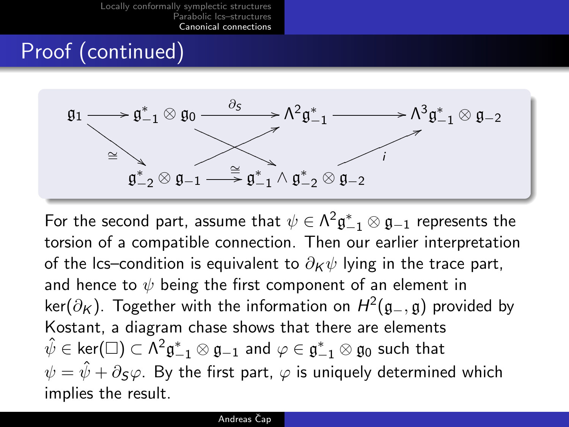### Proof (continued)



For the second part, assume that  $\psi\in \Lambda^2\mathfrak{g}_{-1}^*\otimes \mathfrak{g}_{-1}$  represents the torsion of a compatible connection. Then our earlier interpretation of the lcs–condition is equivalent to  $\partial_K \psi$  lying in the trace part, and hence to  $\psi$  being the first component of an element in ker $(\partial_K)$ . Together with the information on  $H^2(\mathfrak{g}_-,\mathfrak{g})$  provided by Kostant, a diagram chase shows that there are elements  $\hat\psi\in\ker(\square)\subset\Lambda^2\mathfrak{g}_{-1}^*\otimes\mathfrak{g}_{-1}$  and  $\varphi\in\mathfrak{g}_{-1}^*\otimes\mathfrak{g}_0$  such that  $\psi = \hat{\psi} + \partial \varsigma \varphi$ . By the first part,  $\varphi$  is uniquely determined which implies the result.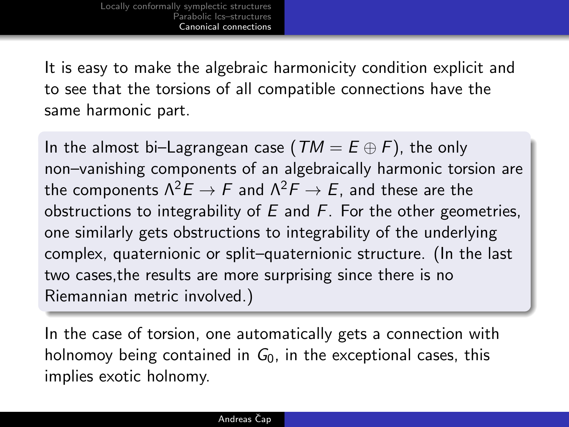It is easy to make the algebraic harmonicity condition explicit and to see that the torsions of all compatible connections have the same harmonic part.

In the almost bi–Lagrangean case ( $TM = E \oplus F$ ), the only non–vanishing components of an algebraically harmonic torsion are the components  $\Lambda^2 E \to F$  and  $\Lambda^2 F \to E$ , and these are the obstructions to integrability of  $E$  and  $F$ . For the other geometries, one similarly gets obstructions to integrability of the underlying complex, quaternionic or split–quaternionic structure. (In the last two cases,the results are more surprising since there is no Riemannian metric involved.)

In the case of torsion, one automatically gets a connection with holnomoy being contained in  $G_0$ , in the exceptional cases, this implies exotic holnomy.